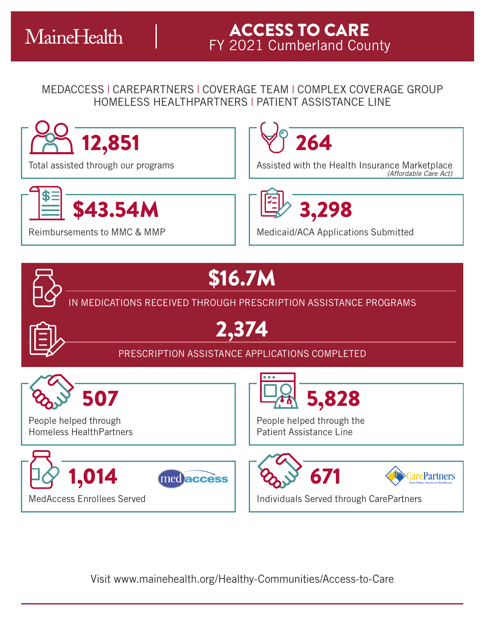## MEDACCESS | CAREPARTNERS | COVERAGE TEAM | COMPLEX COVERAGE GROUP HOMELESS HEALTHPARTNERS | PATIENT ASSISTANCE LINE



Visit www.mainehealth.org/Healthy-Communities/Access-to-Care